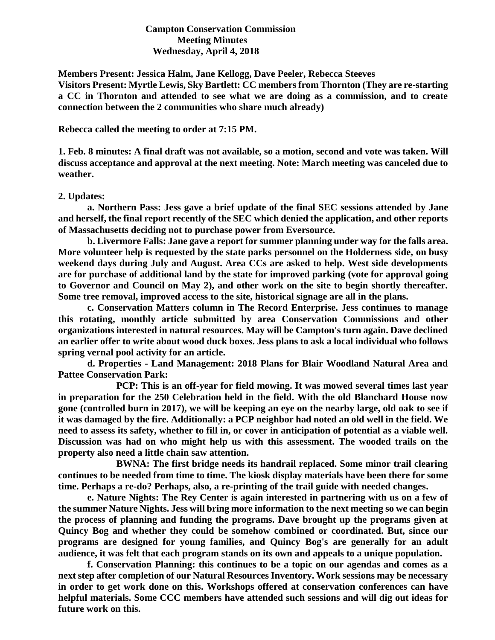## **Campton Conservation Commission Meeting Minutes Wednesday, April 4, 2018**

**Members Present: Jessica Halm, Jane Kellogg, Dave Peeler, Rebecca Steeves**

**Visitors Present: Myrtle Lewis, Sky Bartlett: CC members from Thornton (They are re-starting a CC in Thornton and attended to see what we are doing as a commission, and to create connection between the 2 communities who share much already)**

**Rebecca called the meeting to order at 7:15 PM.**

**1. Feb. 8 minutes: A final draft was not available, so a motion, second and vote was taken. Will discuss acceptance and approval at the next meeting. Note: March meeting was canceled due to weather.** 

## **2. Updates:**

**a. Northern Pass: Jess gave a brief update of the final SEC sessions attended by Jane and herself, the final report recently of the SEC which denied the application, and other reports of Massachusetts deciding not to purchase power from Eversource.**

**b. Livermore Falls: Jane gave a report for summer planning under way for the falls area. More volunteer help is requested by the state parks personnel on the Holderness side, on busy weekend days during July and August. Area CCs are asked to help. West side developments are for purchase of additional land by the state for improved parking (vote for approval going to Governor and Council on May 2), and other work on the site to begin shortly thereafter. Some tree removal, improved access to the site, historical signage are all in the plans.**

**c. Conservation Matters column in The Record Enterprise. Jess continues to manage this rotating, monthly article submitted by area Conservation Commissions and other organizations interested in natural resources. May will be Campton's turn again. Dave declined an earlier offer to write about wood duck boxes. Jess plans to ask a local individual who follows spring vernal pool activity for an article.** 

**d. Properties - Land Management: 2018 Plans for Blair Woodland Natural Area and Pattee Conservation Park:** 

**PCP: This is an off-year for field mowing. It was mowed several times last year in preparation for the 250 Celebration held in the field. With the old Blanchard House now gone (controlled burn in 2017), we will be keeping an eye on the nearby large, old oak to see if it was damaged by the fire. Additionally: a PCP neighbor had noted an old well in the field. We need to assess its safety, whether to fill in, or cover in anticipation of potential as a viable well. Discussion was had on who might help us with this assessment. The wooded trails on the property also need a little chain saw attention.**

**BWNA: The first bridge needs its handrail replaced. Some minor trail clearing continues to be needed from time to time. The kiosk display materials have been there for some time. Perhaps a re-do? Perhaps, also, a re-printing of the trail guide with needed changes.** 

**e. Nature Nights: The Rey Center is again interested in partnering with us on a few of the summer Nature Nights. Jess will bring more information to the next meeting so we can begin the process of planning and funding the programs. Dave brought up the programs given at Quincy Bog and whether they could be somehow combined or coordinated. But, since our programs are designed for young families, and Quincy Bog's are generally for an adult audience, it was felt that each program stands on its own and appeals to a unique population.**

**f. Conservation Planning: this continues to be a topic on our agendas and comes as a next step after completion of our Natural Resources Inventory. Work sessions may be necessary in order to get work done on this. Workshops offered at conservation conferences can have helpful materials. Some CCC members have attended such sessions and will dig out ideas for future work on this.**